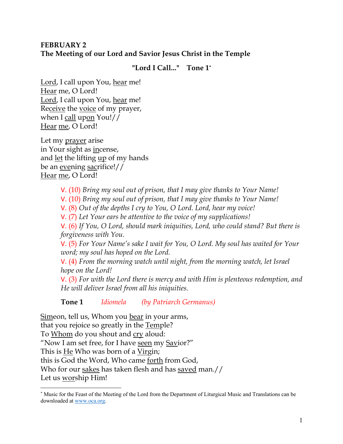# **FEBRUARY 2 The Meeting of our Lord and Savior Jesus Christ in the Temple**

**"Lord I Call..." Tone 1\***

Lord, I call upon You, hear me! Hear me, O Lord! Lord, I call upon You, hear me! Receive the voice of my prayer, when I call upon You!// Hear me, O Lord!

Let my prayer arise in Your sight as incense, and let the lifting up of my hands be an evening sacrifice!// Hear me, O Lord!

V. (10) *Bring my soul out of prison, that I may give thanks to Your Name!* 

V. (10) *Bring my soul out of prison, that I may give thanks to Your Name!* 

V. (8) *Out of the depths I cry to You, O Lord. Lord, hear my voice!* 

V. (7) *Let Your ears be attentive to the voice of my supplications!*

V. (6) *If You, O Lord, should mark iniquities, Lord, who could stand? But there is forgiveness with You.* 

V. (5) *For Your Name's sake I wait for You, O Lord. My soul has waited for Your word; my soul has hoped on the Lord.* 

V. (4) *From the morning watch until night, from the morning watch, let Israel hope on the Lord!* 

V. (3) *For with the Lord there is mercy and with Him is plenteous redemption, and He will deliver Israel from all his iniquities.*

**Tone 1** *Idiomela (by Patriarch Germanus)*

Simeon, tell us, Whom you bear in your arms, that you rejoice so greatly in the Temple? To Whom do you shout and cry aloud: "Now I am set free, for I have seen my Savior?" This is He Who was born of a Virgin; this is God the Word, Who came forth from God, Who for our sakes has taken flesh and has saved man.// Let us worship Him!

<sup>\*</sup> Music for the Feast of the Meeting of the Lord from the Department of Liturgical Music and Translations can be downloaded at www.oca.org.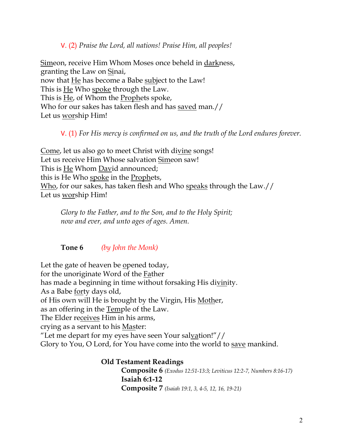V. (2) *Praise the Lord, all nations! Praise Him, all peoples!*

Simeon, receive Him Whom Moses once beheld in darkness, granting the Law on Sinai, now that He has become a Babe subject to the Law! This is He Who spoke through the Law. This is He, of Whom the Prophets spoke, Who for our sakes has taken flesh and has saved man.// Let us worship Him!

#### V. (1) *For His mercy is confirmed on us, and the truth of the Lord endures forever.*

Come, let us also go to meet Christ with divine songs! Let us receive Him Whose salvation Simeon saw! This is He Whom David announced; this is He Who spoke in the Prophets, Who, for our sakes, has taken flesh and Who speaks through the Law.// Let us worship Him!

*Glory to the Father, and to the Son, and to the Holy Spirit; now and ever, and unto ages of ages. Amen.* 

#### **Tone 6** *(by John the Monk)*

Let the gate of heaven be opened today, for the unoriginate Word of the Father has made a beginning in time without forsaking His divinity. As a Babe forty days old, of His own will He is brought by the Virgin, His Mother, as an offering in the Temple of the Law. The Elder receives Him in his arms, crying as a servant to his Master: "Let me depart for my eyes have seen Your salvation!"// Glory to You, O Lord, for You have come into the world to save mankind.

> **Old Testament Readings Composite 6** *(Exodus 12:51-13:3; Leviticus 12:2-7, Numbers 8:16-17)* **Isaiah 6:1-12 Composite 7** *(Isaiah 19:1, 3, 4-5, 12, 16, 19-21)*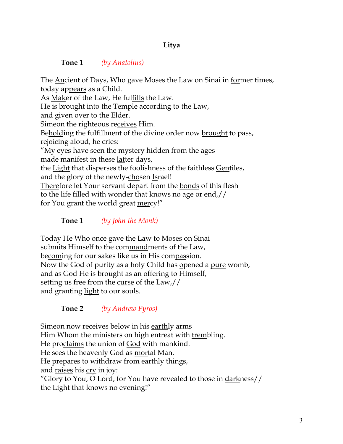# **Litya**

#### **Tone 1** *(by Anatolius)*

The Ancient of Days, Who gave Moses the Law on Sinai in former times, today appears as a Child. As Maker of the Law, He fulfills the Law. He is brought into the Temple according to the Law, and given over to the Elder. Simeon the righteous receives Him. Beholding the fulfillment of the divine order now brought to pass, rejoicing aloud, he cries: "My eyes have seen the mystery hidden from the ages made manifest in these <u>latter</u> days, the Light that disperses the foolishness of the faithless Gentiles, and the glory of the newly-chosen Israel! Therefore let Your servant depart from the bonds of this flesh to the life filled with wonder that knows no age or end,// for You grant the world great mercy!"

**Tone 1** *(by John the Monk)* 

Today He Who once gave the Law to Moses on Sinai submits Himself to the commandments of the Law, becoming for our sakes like us in His compassion. Now the God of purity as a holy Child has opened a pure womb, and as God He is brought as an offering to Himself, setting us free from the curse of the Law,// and granting light to our souls.

**Tone 2** *(by Andrew Pyros)* 

Simeon now receives below in his earthly arms Him Whom the ministers on high entreat with trembling. He proclaims the union of God with mankind. He sees the heavenly God as mortal Man. He prepares to withdraw from earthly things, and raises his cry in joy: "Glory to You, O Lord, for You have revealed to those in darkness// the Light that knows no evening!"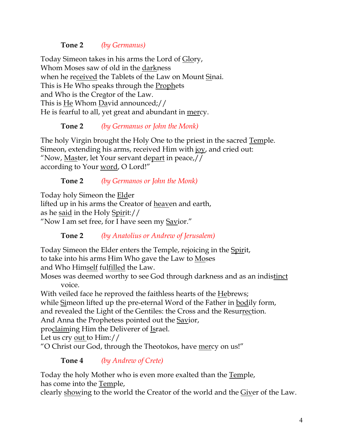## **Tone 2** *(by Germanus)*

Today Simeon takes in his arms the Lord of Glory, Whom Moses saw of old in the darkness when he received the Tablets of the Law on Mount Sinai. This is He Who speaks through the **Prophets** and Who is the Creator of the Law. This is He Whom David announced;// He is fearful to all, yet great and abundant in mercy.

## **Tone 2** *(by Germanus or John the Monk)*

The holy Virgin brought the Holy One to the priest in the sacred Temple. Simeon, extending his arms, received Him with joy, and cried out: "Now, Master, let Your servant depart in peace,// according to Your word, O Lord!"

## **Tone 2** *(by Germanos or John the Monk)*

Today holy Simeon the Elder lifted up in his arms the Creator of heaven and earth, as he said in the Holy Spirit:// "Now I am set free, for I have seen my Savior."

**Tone 2** *(by Anatolius or Andrew of Jerusalem)*

Today Simeon the Elder enters the Temple, rejoicing in the Spirit, to take into his arms Him Who gave the Law to Moses and Who Himself fulfilled the Law.

Moses was deemed worthy to see God through darkness and as an indistinct voice.

With veiled face he reproved the faithless hearts of the Hebrews; while Simeon lifted up the pre-eternal Word of the Father in bodily form, and revealed the Light of the Gentiles: the Cross and the Resurrection.

And Anna the Prophetess pointed out the **Savior**,

proclaiming Him the Deliverer of Israel.

Let us cry out to Him://

"O Christ our God, through the Theotokos, have mercy on us!"

**Tone 4** *(by Andrew of Crete)*

Today the holy Mother who is even more exalted than the Temple, has come into the Temple,

clearly showing to the world the Creator of the world and the Giver of the Law.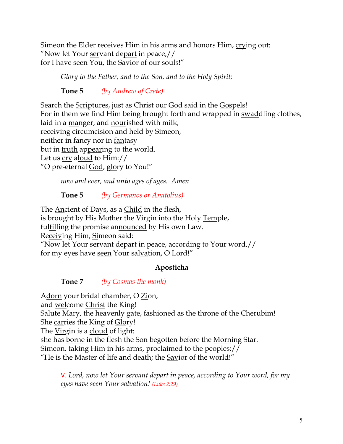Simeon the Elder receives Him in his arms and honors Him, crying out: "Now let Your servant depart in peace,// for I have seen You, the Savior of our souls!"

*Glory to the Father, and to the Son, and to the Holy Spirit;* 

**Tone 5** *(by Andrew of Crete)*

Search the Scriptures, just as Christ our God said in the Gospels! For in them we find Him being brought forth and wrapped in swaddling clothes, laid in a manger, and nourished with milk, receiving circumcision and held by Simeon, neither in fancy nor in fantasy but in truth appearing to the world. Let us cry aloud to Him:// "O pre-eternal God, glory to You!"

*now and ever, and unto ages of ages. Amen*

# **Tone 5** *(by Germanos or Anatolius)*

The Ancient of Days, as a Child in the flesh, is brought by His Mother the Virgin into the Holy Temple, fulfilling the promise announced by His own Law. Receiving Him, Simeon said: "Now let Your servant depart in peace, according to Your word,// for my eyes have seen Your salvation, O Lord!"

# **Aposticha**

**Tone 7** *(by Cosmas the monk)*

Adorn your bridal chamber, O Zion, and welcome Christ the King! Salute Mary, the heavenly gate, fashioned as the throne of the Cherubim! She carries the King of Glory! The Virgin is a cloud of light: she has borne in the flesh the Son begotten before the Morning Star. Simeon, taking Him in his arms, proclaimed to the peoples:// "He is the Master of life and death; the Savior of the world!"

V. *Lord, now let Your servant depart in peace, according to Your word, for my eyes have seen Your salvation! (Luke 2:29)*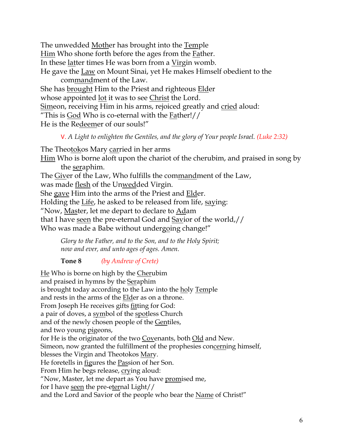The unwedded Mother has brought into the Temple Him Who shone forth before the ages from the Father. In these latter times He was born from a Virgin womb. He gave the Law on Mount Sinai, yet He makes Himself obedient to the commandment of the Law. She has **brought** Him to the Priest and righteous **Elder** whose appointed <u>lot</u> it was to see Christ the Lord. Simeon, receiving Him in his arms, rejoiced greatly and cried aloud: "This is God Who is co-eternal with the Father!//

He is the Redeemer of our souls!"

V. *A Light to enlighten the Gentiles, and the glory of Your people Israel. (Luke 2:32)*

The Theotokos Mary carried in her arms Him Who is borne aloft upon the chariot of the cherubim, and praised in song by the seraphim. The Giver of the Law, Who fulfills the commandment of the Law, was made <u>flesh</u> of the Unwedded Virgin. She gave Him into the arms of the Priest and Elder. Holding the Life, he asked to be released from life, saying: "Now, Master, let me depart to declare to Adam that I have seen the pre-eternal God and Savior of the world,// Who was made a Babe without undergoing change!"

*Glory to the Father, and to the Son, and to the Holy Spirit; now and ever, and unto ages of ages. Amen.*

**Tone 8** *(by Andrew of Crete)*

He Who is borne on high by the Cherubim and praised in hymns by the Seraphim is brought today according to the Law into the holy Temple and rests in the arms of the Elder as on a throne. From Joseph He receives gifts fitting for God: a pair of doves, a symbol of the spotless Church and of the newly chosen people of the Gentiles, and two young pigeons, for He is the originator of the two Covenants, both Old and New. Simeon, now granted the fulfillment of the prophesies concerning himself, blesses the Virgin and Theotokos Mary. He foretells in figures the Passion of her Son. From Him he begs release, crying aloud: "Now, Master, let me depart as You have promised me, for I have seen the pre-eternal Light// and the Lord and Savior of the people who bear the Name of Christ!"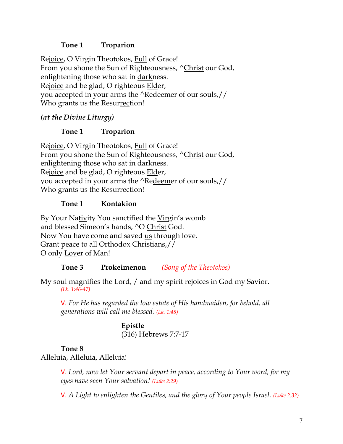## **Tone 1 Troparion**

Rejoice, O Virgin Theotokos, Full of Grace! From you shone the Sun of Righteousness,  $\triangle$ Christ our God, enlightening those who sat in darkness. Rejoice and be glad, O righteous Elder, you accepted in your arms the ^Redeemer of our souls,// Who grants us the Resurrection!

# *(at the Divine Liturgy)*

## **Tone 1 Troparion**

Rejoice, O Virgin Theotokos, Full of Grace! From you shone the Sun of Righteousness,  $\triangle$ Christ our God, enlightening those who sat in darkness. Rejoice and be glad, O righteous **Elder**, you accepted in your arms the ^Redeemer of our souls,// Who grants us the Resurrection!

## **Tone 1 Kontakion**

By Your Nativity You sanctified the Virgin's womb and blessed Simeon's hands, ^O Christ God. Now You have come and saved us through love. Grant peace to all Orthodox Christians,// O only Lover of Man!

## **Tone 3 Prokeimenon** *(Song of the Theotokos)*

My soul magnifies the Lord, / and my spirit rejoices in God my Savior. *(Lk. 1:46-47)*

V. *For He has regarded the low estate of His handmaiden, for behold, all generations will call me blessed. (Lk. 1:48)*

> **Epistle** (316) Hebrews 7:7-17

#### **Tone 8**

Alleluia, Alleluia, Alleluia!

V. *Lord, now let Your servant depart in peace, according to Your word, for my eyes have seen Your salvation! (Luke 2:29)*

V. *A Light to enlighten the Gentiles, and the glory of Your people Israel. (Luke 2:32)*